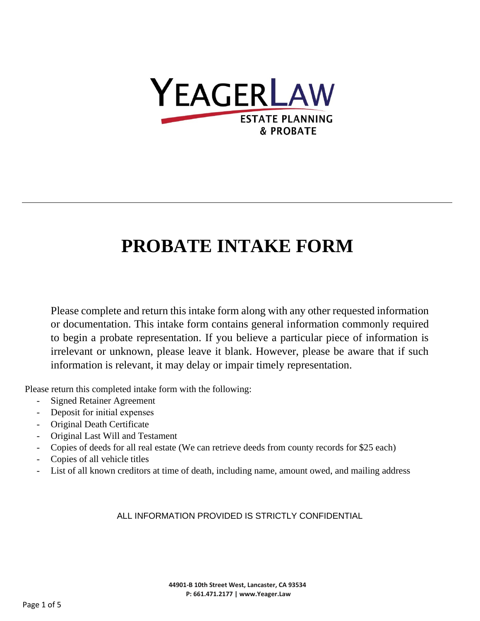

# **PROBATE INTAKE FORM**

Please complete and return this intake form along with any other requested information or documentation. This intake form contains general information commonly required to begin a probate representation. If you believe a particular piece of information is irrelevant or unknown, please leave it blank. However, please be aware that if such information is relevant, it may delay or impair timely representation.

Please return this completed intake form with the following:

- Signed Retainer Agreement
- Deposit for initial expenses
- Original Death Certificate
- Original Last Will and Testament
- Copies of deeds for all real estate (We can retrieve deeds from county records for \$25 each)
- Copies of all vehicle titles
- List of all known creditors at time of death, including name, amount owed, and mailing address

#### ALL INFORMATION PROVIDED IS STRICTLY CONFIDENTIAL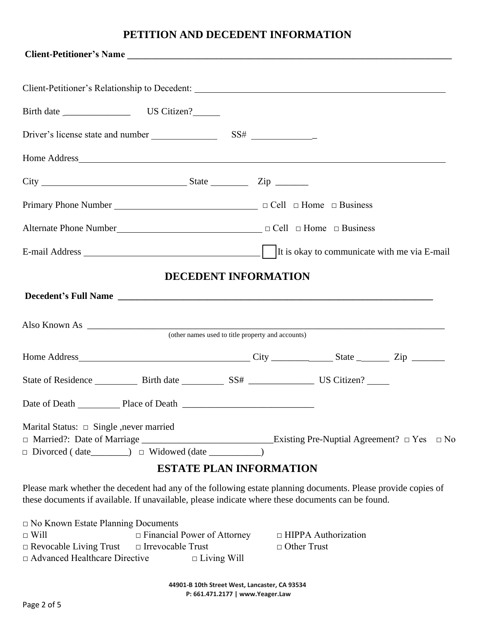#### **PETITION AND DECEDENT INFORMATION**

| Client-Petitioner's Name                                                                                      |                                |  |  |
|---------------------------------------------------------------------------------------------------------------|--------------------------------|--|--|
|                                                                                                               |                                |  |  |
|                                                                                                               |                                |  |  |
|                                                                                                               |                                |  |  |
|                                                                                                               |                                |  |  |
| $City$ $Zip$ $Type$                                                                                           |                                |  |  |
|                                                                                                               |                                |  |  |
| Alternate Phone Number<br><u>Dell</u> <del>□</del> Home □ Business                                            |                                |  |  |
|                                                                                                               |                                |  |  |
|                                                                                                               | <b>DECEDENT INFORMATION</b>    |  |  |
|                                                                                                               |                                |  |  |
|                                                                                                               |                                |  |  |
|                                                                                                               |                                |  |  |
|                                                                                                               |                                |  |  |
|                                                                                                               |                                |  |  |
|                                                                                                               |                                |  |  |
| Marital Status: $\Box$ Single , never married                                                                 |                                |  |  |
|                                                                                                               | <b>ESTATE PLAN INFORMATION</b> |  |  |
| Please mark whether the decedent had any of the following estate planning documents. Please provide copies of |                                |  |  |

these documents if available. If unavailable, please indicate where these documents can be found.

| $\Box$ No Known Estate Planning Documents              |                                    |  |  |  |
|--------------------------------------------------------|------------------------------------|--|--|--|
| $\sqcap$ Will                                          | $\Box$ Financial Power of Attorney |  |  |  |
| $\Box$ Revocable Living Trust $\Box$ Irrevocable Trust |                                    |  |  |  |
| $\Box$ Advanced Healthcare Directive                   | $\Box$ Living Will                 |  |  |  |

□ HIPPA Authorization □ Other Trust

**44901-B 10th Street West, Lancaster, CA 93534 P: 661.471.2177 | www.Yeager.Law**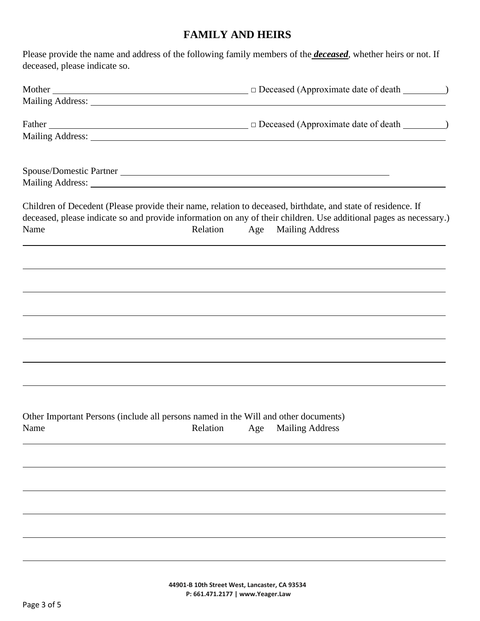## **FAMILY AND HEIRS**

Please provide the name and address of the following family members of the *deceased,* whether heirs or not. If deceased, please indicate so.

|      | Spouse/Domestic Partner<br>Mailing Address: National Address: National Address: National Address: National Address: National Address: National Address: National Address: National Address: National Address: National Address: National Address: Nationa |
|------|-----------------------------------------------------------------------------------------------------------------------------------------------------------------------------------------------------------------------------------------------------------|
|      | Children of Decedent (Please provide their name, relation to deceased, birthdate, and state of residence. If<br>deceased, please indicate so and provide information on any of their children. Use additional pages as necessary.)                        |
| Name | Relation Age Mailing Address                                                                                                                                                                                                                              |
|      | <u> 1989 - Johann Stoff, amerikansk politiker (d. 1989)</u>                                                                                                                                                                                               |
|      |                                                                                                                                                                                                                                                           |
|      | ,我们也不会有什么。""我们的人,我们也不会有什么?""我们的人,我们也不会有什么?""我们的人,我们也不会有什么?""我们的人,我们也不会有什么?""我们的人                                                                                                                                                                          |
|      |                                                                                                                                                                                                                                                           |
|      |                                                                                                                                                                                                                                                           |
|      |                                                                                                                                                                                                                                                           |
|      |                                                                                                                                                                                                                                                           |
|      |                                                                                                                                                                                                                                                           |
|      |                                                                                                                                                                                                                                                           |
|      | Other Important Persons (include all persons named in the Will and other documents)                                                                                                                                                                       |
| Name | <b>Example 18 Relation</b> Age Mailing Address                                                                                                                                                                                                            |
|      |                                                                                                                                                                                                                                                           |
|      |                                                                                                                                                                                                                                                           |
|      |                                                                                                                                                                                                                                                           |
|      |                                                                                                                                                                                                                                                           |
|      |                                                                                                                                                                                                                                                           |
|      |                                                                                                                                                                                                                                                           |
|      |                                                                                                                                                                                                                                                           |
|      |                                                                                                                                                                                                                                                           |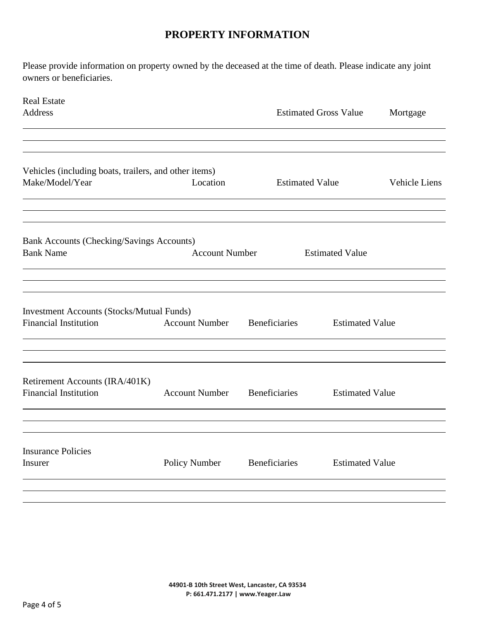## **PROPERTY INFORMATION**

Please provide information on property owned by the deceased at the time of death. Please indicate any joint owners or beneficiaries.

| <b>Real Estate</b>                                                               |                       |                        |                              |               |
|----------------------------------------------------------------------------------|-----------------------|------------------------|------------------------------|---------------|
| <b>Address</b>                                                                   |                       |                        | <b>Estimated Gross Value</b> | Mortgage      |
|                                                                                  |                       |                        |                              |               |
| Vehicles (including boats, trailers, and other items)<br>Make/Model/Year         | Location              | <b>Estimated Value</b> |                              | Vehicle Liens |
| <b>Bank Accounts (Checking/Savings Accounts)</b><br><b>Bank Name</b>             | <b>Account Number</b> |                        | <b>Estimated Value</b>       |               |
| <b>Investment Accounts (Stocks/Mutual Funds)</b><br><b>Financial Institution</b> | <b>Account Number</b> | <b>Beneficiaries</b>   | <b>Estimated Value</b>       |               |
| Retirement Accounts (IRA/401K)<br><b>Financial Institution</b>                   | <b>Account Number</b> | Beneficiaries          | <b>Estimated Value</b>       |               |
| <b>Insurance Policies</b><br>Insurer                                             | Policy Number         | Beneficiaries          | <b>Estimated Value</b>       |               |
|                                                                                  |                       |                        |                              |               |